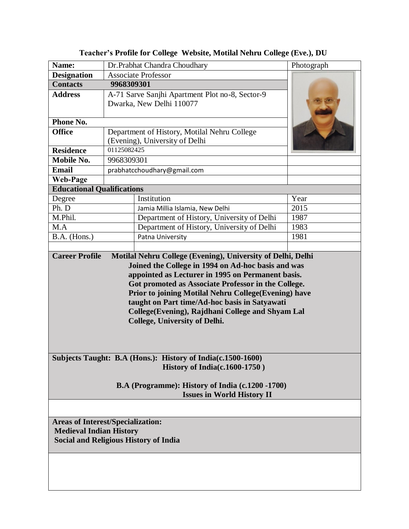| Name:                                                                                                                                                                                                                                                    | Dr.Prabhat Chandra Choudhary                    | Photograph |
|----------------------------------------------------------------------------------------------------------------------------------------------------------------------------------------------------------------------------------------------------------|-------------------------------------------------|------------|
| <b>Designation</b>                                                                                                                                                                                                                                       | <b>Associate Professor</b>                      |            |
| <b>Contacts</b>                                                                                                                                                                                                                                          | 9968309301                                      |            |
| <b>Address</b>                                                                                                                                                                                                                                           | A-71 Sarve Sanjhi Apartment Plot no-8, Sector-9 |            |
|                                                                                                                                                                                                                                                          | Dwarka, New Delhi 110077                        |            |
|                                                                                                                                                                                                                                                          |                                                 |            |
| Phone No.                                                                                                                                                                                                                                                |                                                 |            |
| <b>Office</b>                                                                                                                                                                                                                                            | Department of History, Motilal Nehru College    |            |
|                                                                                                                                                                                                                                                          | (Evening), University of Delhi                  |            |
| <b>Residence</b>                                                                                                                                                                                                                                         | 01125082425                                     |            |
| Mobile No.                                                                                                                                                                                                                                               | 9968309301                                      |            |
| <b>Email</b>                                                                                                                                                                                                                                             | prabhatcchoudhary@gmail.com                     |            |
| <b>Web-Page</b>                                                                                                                                                                                                                                          |                                                 |            |
| <b>Educational Qualifications</b>                                                                                                                                                                                                                        |                                                 |            |
| Degree                                                                                                                                                                                                                                                   | Institution                                     | Year       |
| Ph. D                                                                                                                                                                                                                                                    | Jamia Millia Islamia, New Delhi                 | 2015       |
| M.Phil.                                                                                                                                                                                                                                                  | Department of History, University of Delhi      | 1987       |
| M.A                                                                                                                                                                                                                                                      | Department of History, University of Delhi      | 1983       |
| B.A. (Hons.)                                                                                                                                                                                                                                             | Patna University                                | 1981       |
| <b>Career Profile</b>                                                                                                                                                                                                                                    |                                                 |            |
| Got promoted as Associate Professor in the College.<br>Prior to joining Motilal Nehru College(Evening) have<br>taught on Part time/Ad-hoc basis in Satyawati<br>College(Evening), Rajdhani College and Shyam Lal<br><b>College, University of Delhi.</b> |                                                 |            |
| Subjects Taught: B.A (Hons.): History of India(c.1500-1600)<br>History of India(c.1600-1750)<br>B.A (Programme): History of India (c.1200 -1700)                                                                                                         |                                                 |            |
| <b>Issues in World History II</b>                                                                                                                                                                                                                        |                                                 |            |
|                                                                                                                                                                                                                                                          |                                                 |            |
| <b>Areas of Interest/Specialization:</b><br><b>Medieval Indian History</b><br><b>Social and Religious History of India</b>                                                                                                                               |                                                 |            |
|                                                                                                                                                                                                                                                          |                                                 |            |
|                                                                                                                                                                                                                                                          |                                                 |            |

**Teacher's Profile for College Website, Motilal Nehru College (Eve.), DU**